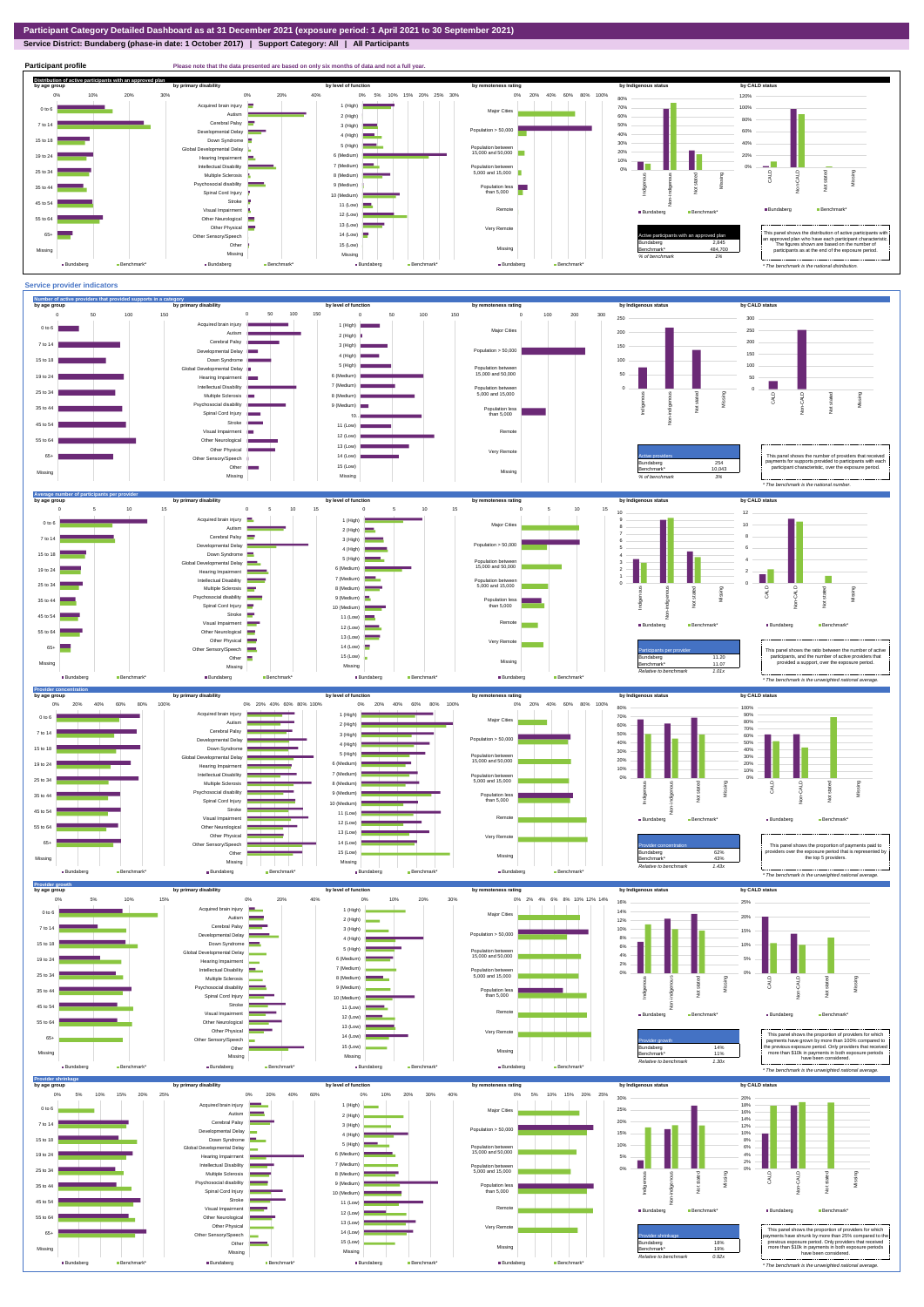**Service District: Bundaberg (phase-in date: 1 October 2017) | Support Category: All | All Participants**





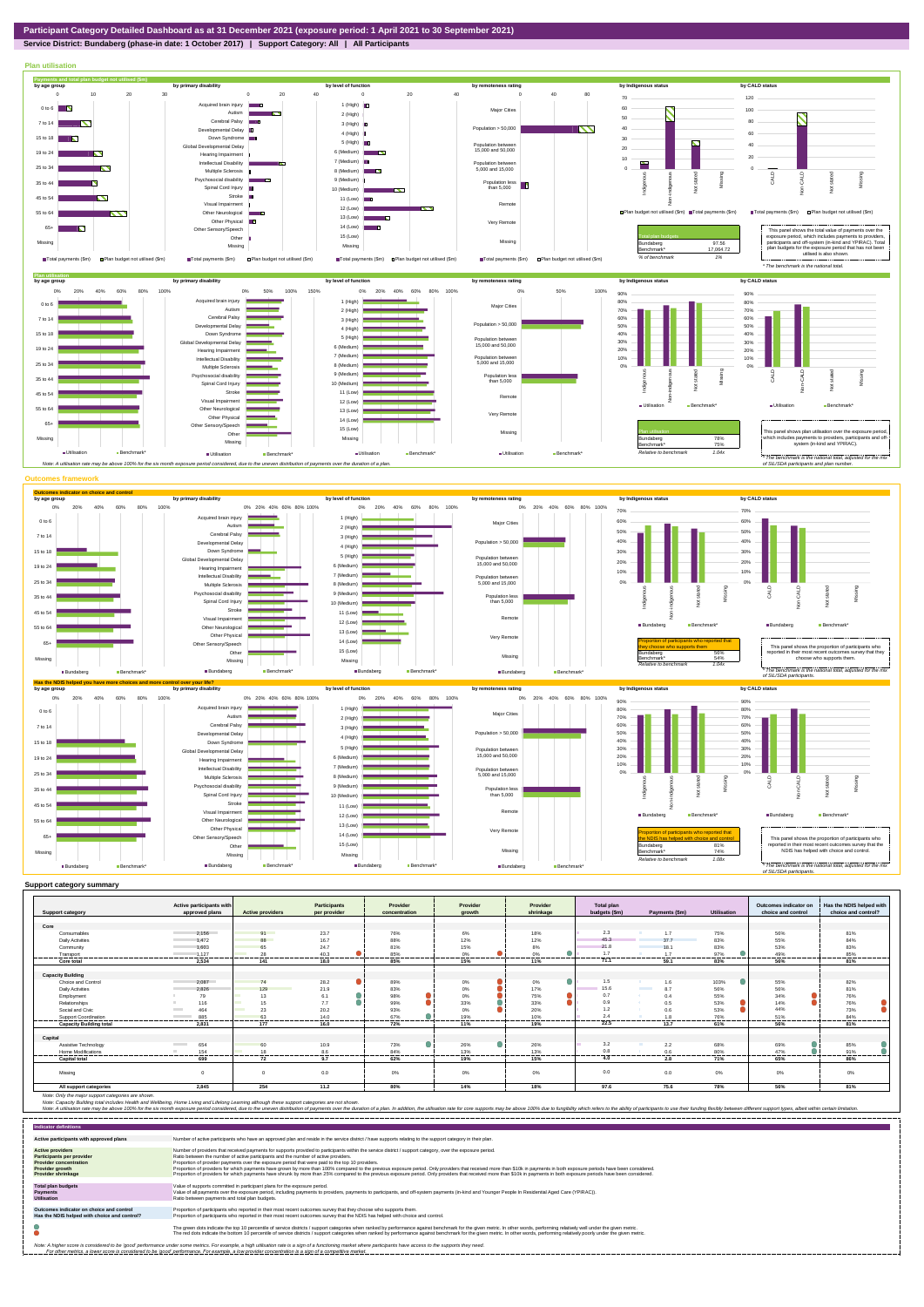## **Service District: Bundaberg (phase-in date: 1 October 2017) | Support Category: All | All Participants**



|                                | Active participants with        |                         | Participants | Provider       | Provider        | Provider        | Total plan    |                                 |                | Outcomes indicator on | Has the NDIS helped with |
|--------------------------------|---------------------------------|-------------------------|--------------|----------------|-----------------|-----------------|---------------|---------------------------------|----------------|-----------------------|--------------------------|
| <b>Support category</b>        | approved plans                  | <b>Active providers</b> | per provider | concentration  | growth          | shrinkage       | budgets (\$m) | Payments (\$m)                  | Utilisation    | choice and control    | choice and control?      |
|                                |                                 |                         |              |                |                 |                 |               |                                 |                |                       |                          |
| Core                           |                                 |                         |              |                |                 |                 |               |                                 |                |                       |                          |
| Consumables                    | 2.156                           | 91                      | 23.7         | 76%            | 6%              | 18%             | 2.3           | 1.7                             | 75%            | 56%                   | 81%                      |
| <b>Daily Activities</b>        | 1.472                           | 88                      | 16.7         | 88%            | 12%             | 12%             | 45.3          | 37.7                            | 83%            | 55%                   | 84%                      |
| Community                      | 1.603                           | 65                      | 24.7         | 81%            | 15%             | 8%              | 21.8          | 18.1                            | 83%            | 53%                   | 83%                      |
| Transport                      | 1.127                           | 28                      | 40.3<br>.    | 85%            | 0%<br>--------- | 0%              | 17<br>------- | 17                              | 97%            | 49%<br>------         | 85%<br>--------          |
| Core total                     | 2.534                           | 141                     | 18.0         | 85%            | 15%             | 11%             | 71.1          | 59.1                            | 83%            | 56%                   | 81%                      |
|                                |                                 |                         |              |                |                 |                 |               |                                 |                |                       |                          |
| <b>Capacity Building</b>       |                                 |                         |              |                |                 |                 |               |                                 |                |                       |                          |
| Choice and Control             | 2.087                           | 74                      | 28.2         | 89%            | 0%              | $\bullet$<br>0% | 1.5           | 1.6                             | 103%           | 55%                   | 82%                      |
| <b>Daily Activities</b>        | 2.826                           | 129                     | 21.9         | 83%            | 0%              | 17%             | 15.6          | <b>Contract Contract</b><br>8.7 | 56%            | 56%                   | 81%                      |
| Employment                     | 79                              | 13                      | 6.1          | 98%            | 0%              | 75%             | 0.7           | 0.4                             | 55%            | 34%                   | 76%                      |
| Relationships                  | 116                             | 15                      | 7.7          | 99%            | 33%             | 33%             | 0.9           | 0.5                             | 53%            | 14%                   | 76%                      |
| Social and Civic               | 464<br><b>Contract</b>          | 23                      | 20.2         | 93%            | 0%              | 20%             | 1.2           | 0.6                             | 53%            | 44%                   | 73%                      |
| <b>Support Coordination</b>    | 885<br><b>Contract Contract</b> | 63                      | 14.0         | 67%            | 19%             | 10%             | 24            | 1.8                             | 76%            | 51%                   | 84%                      |
| <b>Capacity Building total</b> | 2.831                           | ------<br>177           | <br>16.0     | -------<br>72% | --------<br>11% | <br>19%         | 22.5          | --------<br>13.7                | -------<br>61% | -------<br>56%        | ------<br>81%            |
|                                |                                 |                         |              |                |                 |                 |               |                                 |                |                       |                          |
| Capital                        |                                 |                         |              |                |                 |                 |               |                                 |                |                       |                          |
| Assistive Technology           | 654<br><b>Contract Contract</b> | 60                      | 10.9         | 73%            | 26%             | 26%             | 3.2           | 2.2                             | 68%            | 69%                   | 85%                      |
| <b>Home Modifications</b>      | 154                             | 18                      | 8.6          | 84%<br>.       | 13%<br>-------  | 13%<br>.        | $^{\circ}$    | 0.6                             | 80%            | 47%<br>-------        | 91%                      |
| <b>Capital total</b>           | -------<br>699                  | ----<br>72              | <br>9.7      | 62%            | 19%             | 15%             | .<br>4.0      | 2.8                             | 71%            | 65%                   | <br>86%                  |
|                                |                                 |                         |              |                |                 |                 |               |                                 |                |                       |                          |
| Missing                        |                                 |                         | 0.0          | 0%             | 0%              | 0%              | 0.0           | 0.0                             | $0\%$          | 0%                    | 0%                       |
|                                |                                 |                         |              |                |                 |                 |               |                                 |                |                       |                          |
| All support categories         | 2.845                           | 254                     | 11.2         | 80%            | 14%             | 18%             | 97.6          | 75.6                            | 78%            | 56%                   | 81%                      |

Note: Only the major support categories are shown.<br>Note: Capacity Building total individual Wellbeing, Home Living and Lifelong Learning although these support categories are not shown.<br>Note: A utilisation rate may be abov

| <b>Indicator definitions</b>                                                                                                                        |                                                                                                                                                                                                                                                                                                                                                                                                                                                                                                                                                                                                                                                                                                                                                                                                                 |
|-----------------------------------------------------------------------------------------------------------------------------------------------------|-----------------------------------------------------------------------------------------------------------------------------------------------------------------------------------------------------------------------------------------------------------------------------------------------------------------------------------------------------------------------------------------------------------------------------------------------------------------------------------------------------------------------------------------------------------------------------------------------------------------------------------------------------------------------------------------------------------------------------------------------------------------------------------------------------------------|
| Active participants with approved plans                                                                                                             | Number of active participants who have an approved plan and reside in the service district / have supports relating to the support category in their plan.                                                                                                                                                                                                                                                                                                                                                                                                                                                                                                                                                                                                                                                      |
| <b>Active providers</b><br><b>Participants per provider</b><br><b>Provider concentration</b><br><b>Provider growth</b><br><b>Provider shrinkage</b> | Number of providers that received payments for supports provided to participants within the service district / support category, over the exposure period,<br>Ratio between the number of active participants and the number of active providers.<br>Proportion of provider payments over the exposure period that were paid to the top 10 providers.<br>Proportion of providers for which payments have grown by more than 100% compared to the previous exposure period. Only providers that received more than \$10k in payments in both exposure periods have been considered.<br>Proportion of providers for which payments have shrunk by more than 25% compared to the previous exposure period. Only providers that received more than \$10k in payments in both exposure periods have been considered. |
| <b>Total plan budgets</b><br><b>Payments</b><br><b>Utilisation</b>                                                                                  | Value of supports committed in participant plans for the exposure period.<br>Value of all payments over the exposure period, including payments to providers, payments to participants, and off-system payments (in-kind and Younger People In Residential Aged Care (YPIRAC)).<br>Ratio between payments and total plan budgets.                                                                                                                                                                                                                                                                                                                                                                                                                                                                               |
| Outcomes indicator on choice and control<br>Has the NDIS helped with choice and control?                                                            | Proportion of participants who reported in their most recent outcomes survey that they choose who supports them.<br>Proportion of participants who reported in their most recent outcomes survey that the NDIS has helped with choice and control.                                                                                                                                                                                                                                                                                                                                                                                                                                                                                                                                                              |
|                                                                                                                                                     | The green dots indicate the top 10 percentile of service districts / support categories when ranked by performance against benchmark for the given metric. In other words, performing relatively well under the given metric.<br>The red dots indicate the bottom 10 percentile of service districts / support categories when ranked by performance against benchmark for the given metric. In other words, performing relatively poorly under the given metri                                                                                                                                                                                                                                                                                                                                                 |
|                                                                                                                                                     | Note: A higher score is considered to be 'good' performance under some metrics. For example, a high utilisation rate is a sign of a functioning market where participants have access to the supports they need.<br>For other metrics, a lower score is considered to be 'good' performance. For example, a low provider concentration is a sign of a competitive market.                                                                                                                                                                                                                                                                                                                                                                                                                                       |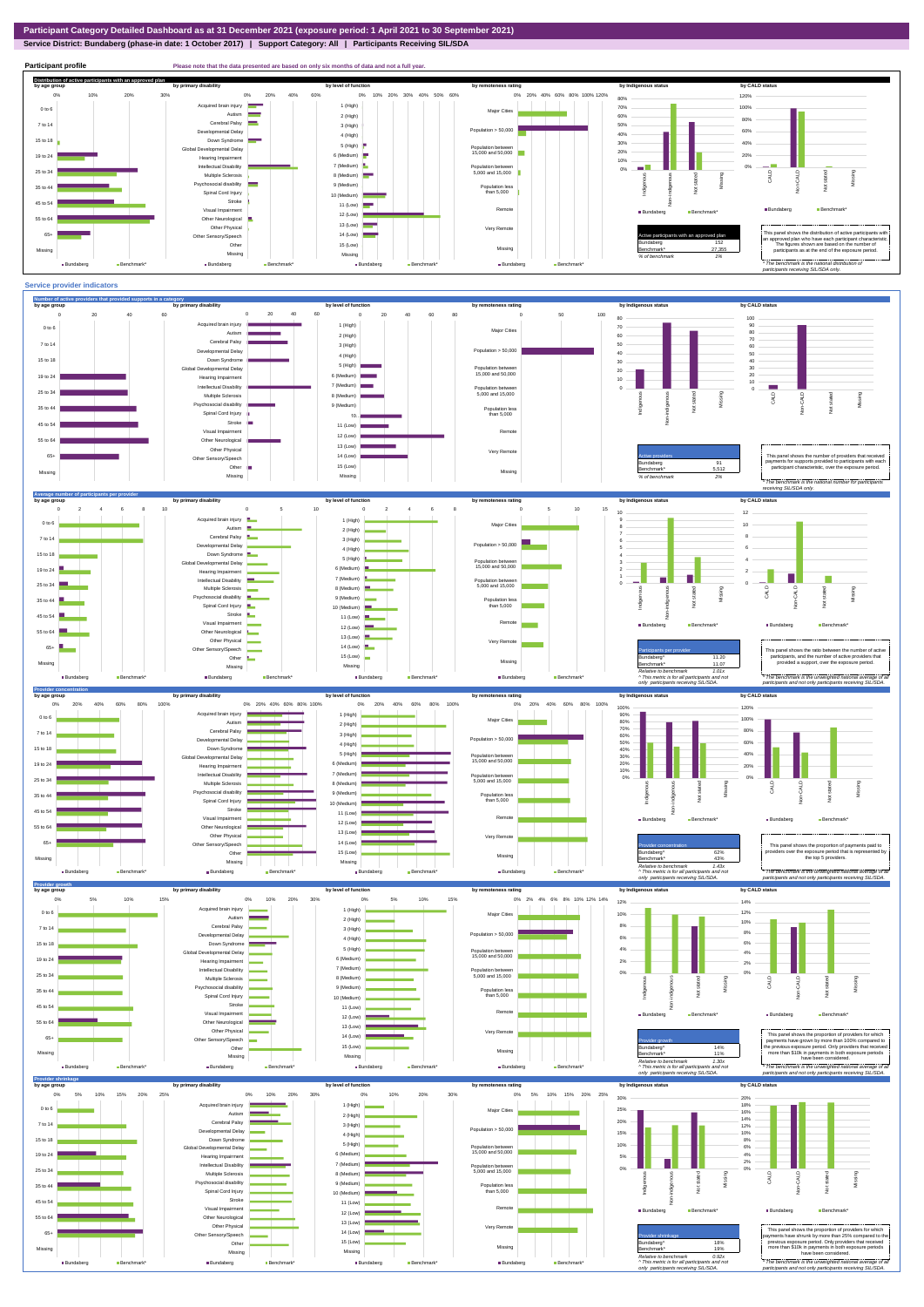**Service District: Bundaberg (phase-in date: 1 October 2017) | Support Category: All | Participants Receiving SIL/SDA**



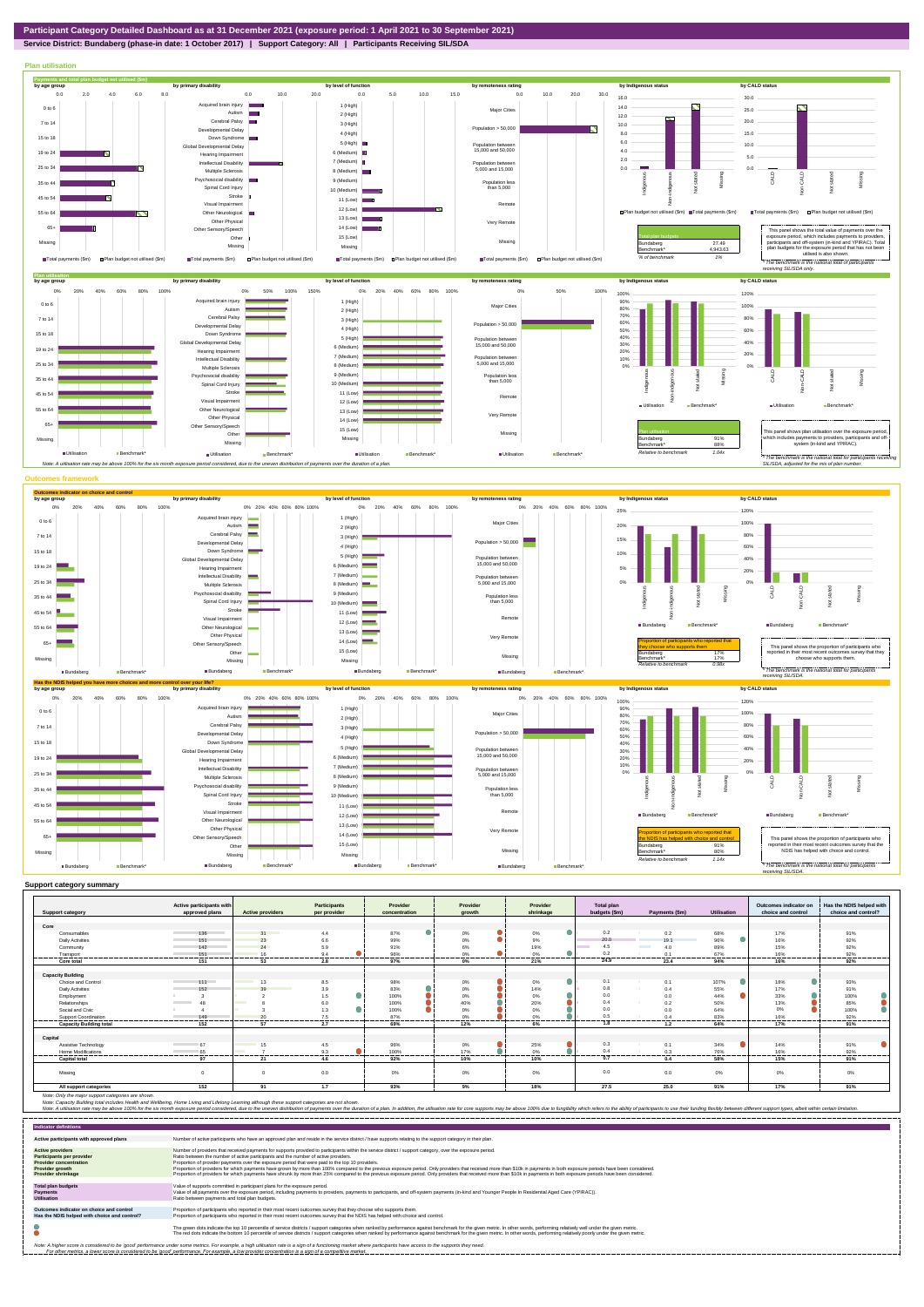

**Service District: Bundaberg (phase-in date: 1 October 2017) | Support Category: All | Participants Receiving SIL/SDA**



|                                | Active participants with        |                         | <b>Participants</b> | Provider        | Provider                    | Provider  | <b>Total plan</b> |                         |             | Outcomes indicator on | Has the NDIS helped with |
|--------------------------------|---------------------------------|-------------------------|---------------------|-----------------|-----------------------------|-----------|-------------------|-------------------------|-------------|-----------------------|--------------------------|
| <b>Support category</b>        | approved plans                  | <b>Active providers</b> | per provider        | concentration   | arowth                      | shrinkage | budgets (\$m)     | Payments (\$m)          | Utilisation | choice and control    | choice and control?      |
|                                |                                 |                         |                     |                 |                             |           |                   |                         |             |                       |                          |
| Core                           |                                 |                         |                     |                 |                             |           |                   |                         |             |                       |                          |
| Consumables                    | 136<br><b>Contract Contract</b> | 31                      | 4.4                 | 87%             | 0%                          | $0\%$     | 0.2               | 0.2                     | 68%         | 17%                   | 91%                      |
| <b>Daily Activities</b>        | 151                             | 23                      | 6.6                 | 99%             | $0\%$                       | 9%        | 20.0              | 191                     | 96%         | 16%                   | 92%                      |
| Community                      | 142                             | 24                      | 5.9                 | 91%             | 6%                          | 19%       | 4.5               | <b>Contractor</b><br>40 | 89%         | 15%                   | 92%                      |
| Transport                      | 151<br>.                        | 16<br>-------           | 9.4<br>---------    | 96%<br>------   | 0%<br>.                     | 0%<br>    | 0.2<br>.          | 0.1<br>                 | 67%<br>     | 16%<br>               | 92%<br>-------           |
| Core total                     | 151                             | 53                      | 2.8                 | 97%             | $0\%$                       | 21%       | 24.9              | 23.4                    | 94%         | 16%                   | 92%                      |
|                                |                                 |                         |                     |                 |                             |           |                   |                         |             |                       |                          |
| <b>Capacity Building</b>       |                                 |                         |                     |                 |                             |           |                   |                         |             |                       |                          |
| Choice and Control             | $111 -$                         | 13                      | 8.5                 | 98%             | 0%                          | 0%        | 0.1               | 0.1                     | 107%        | 18%                   | 93%                      |
| <b>Daily Activities</b>        | 152                             | 30                      | 3.9                 | 83%             | $0\%$                       | 14%       | 0.8               | 0.4                     | 55%         | 17%                   | 91%                      |
| Employment                     |                                 |                         | 1.5                 | 100%            | 0%                          | 0%        | 0.0               | 0.0                     | 44%         | 33%                   | 100%                     |
| Relationships                  | 48<br><b>Contract Contract</b>  | $\sim$                  | 6.0                 | 100%            | 40%                         | 20%       | 0.4               | 0.2                     | 50%         | 13%                   | 85%                      |
| Social and Civic               |                                 |                         | 1.3                 | 100%            | 0%                          | 0%        | 0.0               | 0.0                     | 64%         | 0%                    | 100%                     |
| Support Coordination           | 149<br>-------------            | -------                 | 7.5<br>---------    | 87%<br>-------- | 0%<br>---------<br>-------- | 0%<br>.   | 0.5<br>---------  | 0 <sub>A</sub>          | 83%<br>     | 16%<br>.              | 92%<br>---------         |
| <b>Capacity Building total</b> | 152                             | 57                      | 2.7                 | 69%             | 12%                         | 6%        | 1.8               | 1.2                     | 64%         | 17%                   | 91%                      |
|                                |                                 |                         |                     |                 |                             |           |                   |                         |             |                       |                          |
| Capital                        |                                 |                         |                     |                 |                             |           |                   |                         |             |                       |                          |
| Assistive Technology           | 67                              | 15                      | 4.5                 | 96%             | 0%                          | 25%       | 0.3               | 0.1                     | 34%         | 14%                   | 91%                      |
| Home Modifications             | 65                              |                         | 9.3                 | 100%            | 17%                         | 0%        | 0.4               | 0.3                     | 76%         | 16%                   | 92%                      |
| <b>Capital total</b>           | 97                              | 21                      | 4.6                 | 92%             | 10%                         | 10%       | 0.7               | 0.4                     | 58%         | 15%                   | 91%                      |
| Missing                        | $\Omega$                        |                         | 0.0                 | $0\%$           | 0%                          | 0%        | 0.0               | 0.0                     | 0%          | 0%                    | 0%                       |
| All support categories         | 152                             | 91                      | 1.7                 | 93%             | 9%                          | 18%       | 27.5              | 25.0                    | 91%         | 17%                   | 91%                      |

Note: Only the major support categories are shown.<br>Note: Capacity Building total individual Wellbeing, Home Living and Lifelong Learning although these support categories are not shown.<br>Note: A utilisation rate may be abov

| <b>Indicator definitions</b>                                                                                                                 |                                                                                                                                                                                                                                                                                                                                                                                                                                                                                                                                                                                                                                                                                                                                                                                                                 |
|----------------------------------------------------------------------------------------------------------------------------------------------|-----------------------------------------------------------------------------------------------------------------------------------------------------------------------------------------------------------------------------------------------------------------------------------------------------------------------------------------------------------------------------------------------------------------------------------------------------------------------------------------------------------------------------------------------------------------------------------------------------------------------------------------------------------------------------------------------------------------------------------------------------------------------------------------------------------------|
| Active participants with approved plans                                                                                                      | Number of active participants who have an approved plan and reside in the service district / have supports relating to the support category in their plan.                                                                                                                                                                                                                                                                                                                                                                                                                                                                                                                                                                                                                                                      |
| <b>Active providers</b><br><b>Participants per provider</b><br><b>Provider concentration</b><br>Provider growth<br><b>Provider shrinkage</b> | Number of providers that received payments for supports provided to participants within the service district / support category, over the exposure period.<br>Ratio between the number of active participants and the number of active providers.<br>Proportion of provider payments over the exposure period that were paid to the top 10 providers.<br>Proportion of providers for which payments have grown by more than 100% compared to the previous exposure period. Only providers that received more than \$10k in payments in both exposure periods have been considered.<br>Proportion of providers for which payments have shrunk by more than 25% compared to the previous exposure period. Only providers that received more than \$10k in payments in both exposure periods have been considered. |
| <b>Total plan budgets</b><br>Payments<br><b>Utilisation</b>                                                                                  | Value of supports committed in participant plans for the exposure period.<br>Value of all payments over the exposure period, including payments to providers, payments to participants, and off-system payments (in-kind and Younger People In Residential Aged Care (YPIRAC)).<br>Ratio between payments and total plan budgets.                                                                                                                                                                                                                                                                                                                                                                                                                                                                               |
| Outcomes indicator on choice and control<br>Has the NDIS helped with choice and control?                                                     | Proportion of participants who reported in their most recent outcomes survey that they choose who supports them.<br>Proportion of participants who reported in their most recent outcomes survey that the NDIS has helped with choice and control.                                                                                                                                                                                                                                                                                                                                                                                                                                                                                                                                                              |
|                                                                                                                                              | The green dots indicate the top 10 percentile of service districts / support categories when ranked by performance against benchmark for the given metric. In other words, performing relatively well under the given metric.<br>The red dots indicate the bottom 10 percentile of service districts / support categories when ranked by performance against benchmark for the given metric. In other words, performing relatively poorly under the given metri                                                                                                                                                                                                                                                                                                                                                 |
|                                                                                                                                              | Note: A higher score is considered to be 'good' performance under some metrics. For example, a high utilisation rate is a sign of a functioning market where participants have access to the supports they need.<br>For other metrics, a lower score is considered to be 'good' performance. For example, a low provider concentration is a sign of a competitive market.                                                                                                                                                                                                                                                                                                                                                                                                                                       |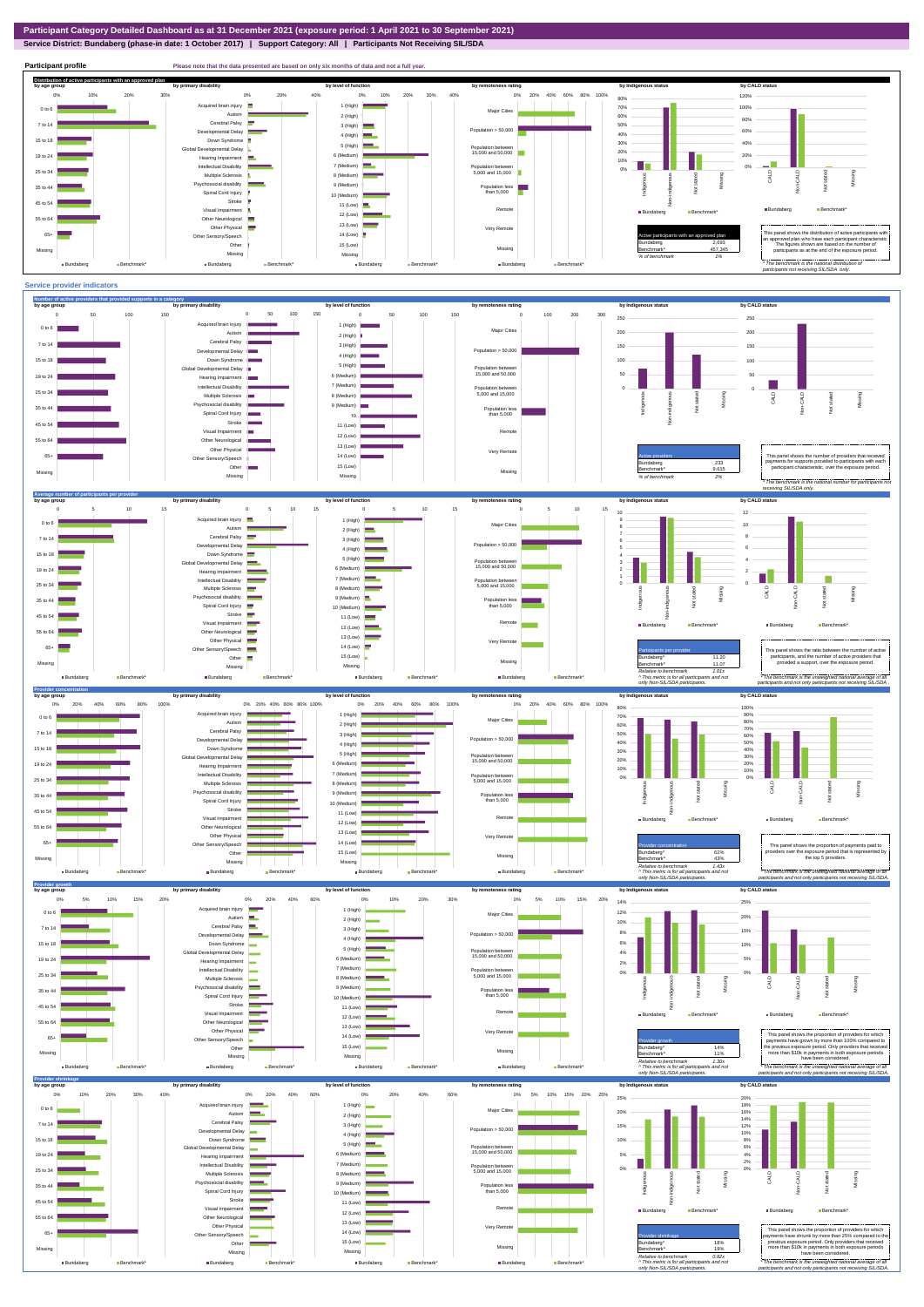## **Service District: Bundaberg (phase-in date: 1 October 2017) | Support Category: All | Participants Not Receiving SIL/SDA**

**Participant profile Please note that the data presented are based on only six months of data and not a full year. Distribution of active participants with an approved plan** by age group by primary disability by remoteness rating by hdigenous status by CALD status 0% 20% 40% 60% 80% 100% 120% 0% 10% 20% 30% 0% 20% 40% 0% 10% 20% 30% 40% 80% d brain injury 1 (High)  $\blacksquare$ 70% 100% 0 to 6 Major Cities ÷ Autism **I** m. 2 (High) 60% 80% Cerebral Palsy 7 to 14 50% 3 (High) Accession<br>ental Delay Population  $> 50,000$ 60% 40% 4 (High) Down Syndrome 15 to 18 30% 40% 5 (High) evelopmental Delay Population between 15,000 and 50,000 20% 6 (Medium) 20% 19 to 24 Hearing Impairment 10% H T J. 7 (Medium) Intellectual Disability 0% Population between 5,000 and 15,000 0% 25 to 34 Multiple Sclerosis 8 (Medium) CALD Non-CALD Missing Non-indigenous .<br>cial disability Indigeno Missing 9 (Medium) 35 to 44 Population less than 5,000 nstated in 1916.<br>Note  $\frac{1}{2}$ Spinal Cord Injury Ť 10 (Medium) Stroke 45 to 54 š 11 (Low) Remot Bundaberg Benchmark Visual Impairmen Bundaberg Benchmark\* 12 (Low) 55 to 64 Other Neurological 13 (Low) Other Physical Very Remote Active participants with an approved plan This panel shows the distribution of active participants with in an approved plan who have each participant characteristic. 65+ Sensory/Speech 14 (Low) Other 15 (Low) Bundaberg 2,693 The figures shown are based on the number of participants as at the end of the exposure period. Missing 457,345 Missing Missing Missing *% of benchmark 1% The benchmark is the natio participants not receiving SIL/SDA only.* Bundaberg Benchmark\* Bundaberg **Benchmark** Bundaberg Bundaberg Bench